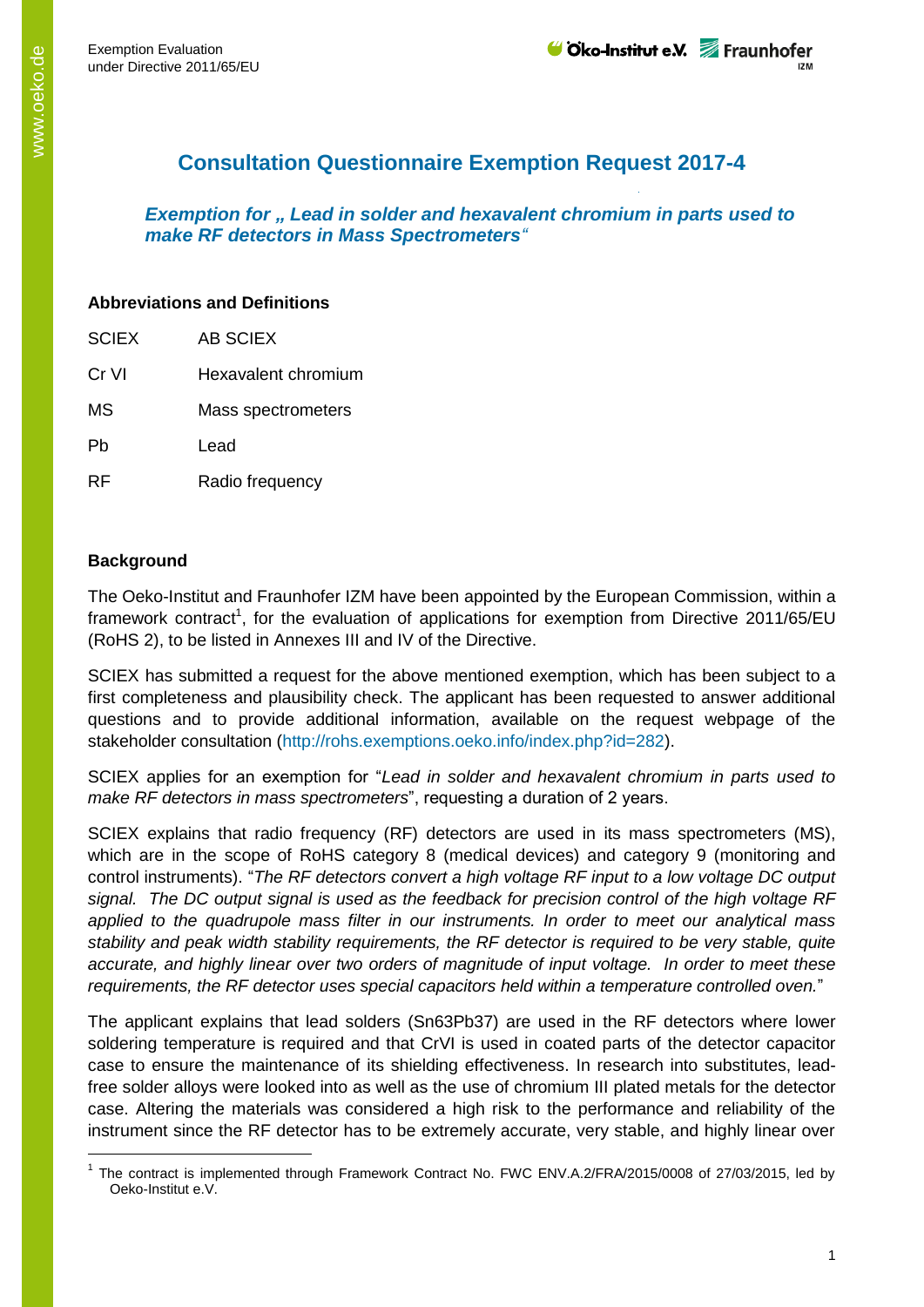## **Consultation Questionnaire Exemption Request 2017-4**

*Exemption for " Lead in solder and hexavalent chromium in parts used to make RF detectors in Mass Spectrometers"*

## **Abbreviations and Definitions**

| <b>SCIEX</b> | AB SCIFX            |
|--------------|---------------------|
| Cr VI        | Hexavalent chromium |
| <b>MS</b>    | Mass spectrometers  |
| Ph           | Lead                |
| RF           | Radio frequency     |

## **Background**

-

The Oeko-Institut and Fraunhofer IZM have been appointed by the European Commission, within a framework contract<sup>1</sup>, for the evaluation of applications for exemption from Directive 2011/65/EU (RoHS 2), to be listed in Annexes III and IV of the Directive.

SCIEX has submitted a request for the above mentioned exemption, which has been subject to a first completeness and plausibility check. The applicant has been requested to answer additional questions and to provide additional information, available on the request webpage of the stakeholder consultation (http://rohs.exemptions.oeko.info/index.php?id=282).

SCIEX applies for an exemption for "*Lead in solder and hexavalent chromium in parts used to make RF detectors in mass spectrometers*", requesting a duration of 2 years.

SCIEX explains that radio frequency (RF) detectors are used in its mass spectrometers (MS), which are in the scope of RoHS category 8 (medical devices) and category 9 (monitoring and control instruments). "*The RF detectors convert a high voltage RF input to a low voltage DC output signal. The DC output signal is used as the feedback for precision control of the high voltage RF applied to the quadrupole mass filter in our instruments. In order to meet our analytical mass stability and peak width stability requirements, the RF detector is required to be very stable, quite accurate, and highly linear over two orders of magnitude of input voltage. In order to meet these requirements, the RF detector uses special capacitors held within a temperature controlled oven.*"

The applicant explains that lead solders (Sn63Pb37) are used in the RF detectors where lower soldering temperature is required and that CrVI is used in coated parts of the detector capacitor case to ensure the maintenance of its shielding effectiveness. In research into substitutes, leadfree solder alloys were looked into as well as the use of chromium III plated metals for the detector case. Altering the materials was considered a high risk to the performance and reliability of the instrument since the RF detector has to be extremely accurate, very stable, and highly linear over

<sup>1</sup> The contract is implemented through Framework Contract No. FWC ENV.A.2/FRA/2015/0008 of 27/03/2015, led by Oeko-Institut e.V.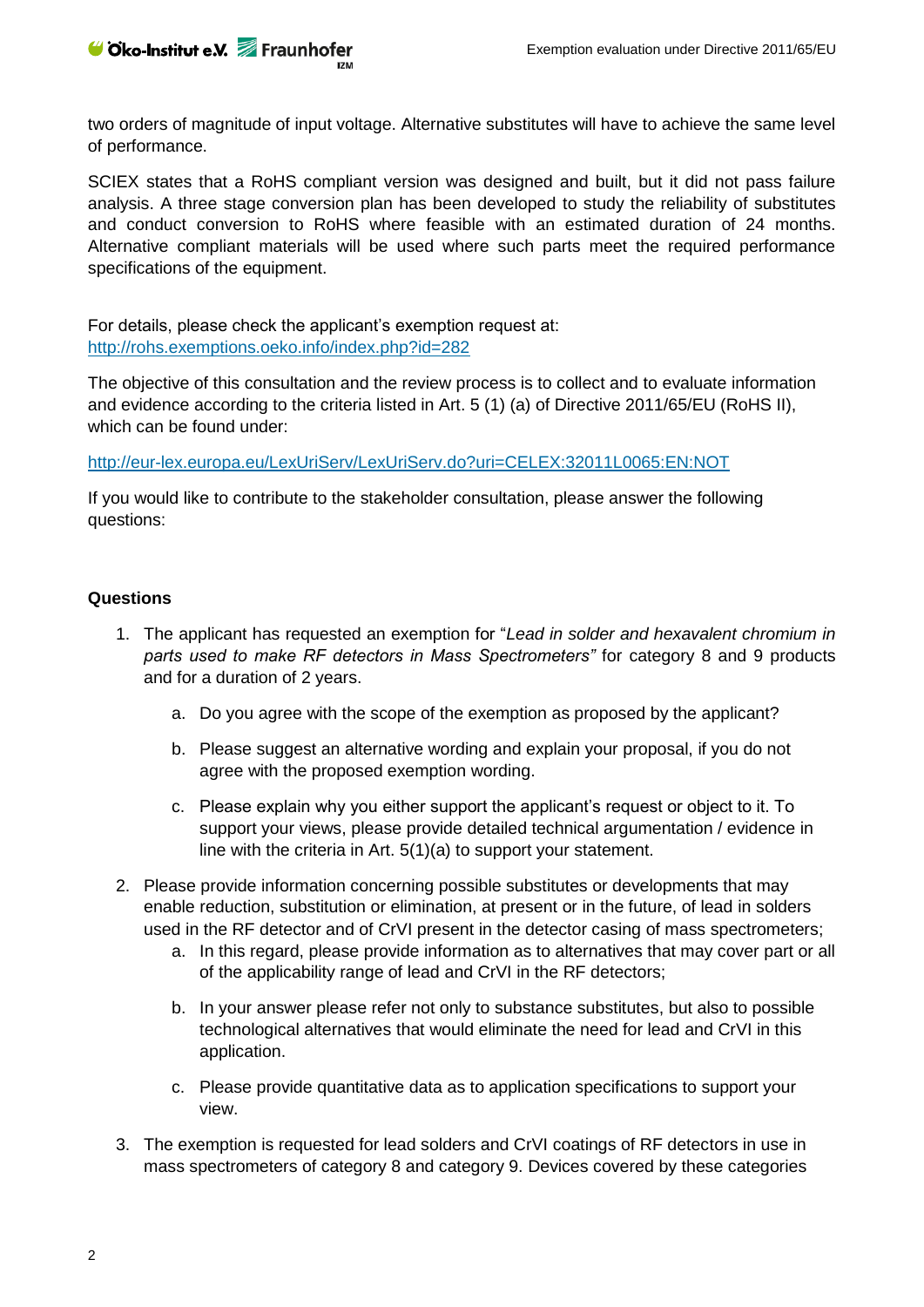two orders of magnitude of input voltage. Alternative substitutes will have to achieve the same level of performance.

SCIEX states that a RoHS compliant version was designed and built, but it did not pass failure analysis. A three stage conversion plan has been developed to study the reliability of substitutes and conduct conversion to RoHS where feasible with an estimated duration of 24 months. Alternative compliant materials will be used where such parts meet the required performance specifications of the equipment.

For details, please check the applicant's exemption request at: <http://rohs.exemptions.oeko.info/index.php?id=282>

The objective of this consultation and the review process is to collect and to evaluate information and evidence according to the criteria listed in Art. 5 (1) (a) of Directive 2011/65/EU (RoHS II), which can be found under:

<http://eur-lex.europa.eu/LexUriServ/LexUriServ.do?uri=CELEX:32011L0065:EN:NOT>

If you would like to contribute to the stakeholder consultation, please answer the following questions:

## **Questions**

- 1. The applicant has requested an exemption for "*Lead in solder and hexavalent chromium in parts used to make RF detectors in Mass Spectrometers"* for category 8 and 9 products and for a duration of 2 years.
	- a. Do you agree with the scope of the exemption as proposed by the applicant?
	- b. Please suggest an alternative wording and explain your proposal, if you do not agree with the proposed exemption wording.
	- c. Please explain why you either support the applicant's request or object to it. To support your views, please provide detailed technical argumentation / evidence in line with the criteria in Art. 5(1)(a) to support your statement.
- 2. Please provide information concerning possible substitutes or developments that may enable reduction, substitution or elimination, at present or in the future, of lead in solders used in the RF detector and of CrVI present in the detector casing of mass spectrometers;
	- a. In this regard, please provide information as to alternatives that may cover part or all of the applicability range of lead and CrVI in the RF detectors;
	- b. In your answer please refer not only to substance substitutes, but also to possible technological alternatives that would eliminate the need for lead and CrVI in this application.
	- c. Please provide quantitative data as to application specifications to support your view.
- 3. The exemption is requested for lead solders and CrVI coatings of RF detectors in use in mass spectrometers of category 8 and category 9. Devices covered by these categories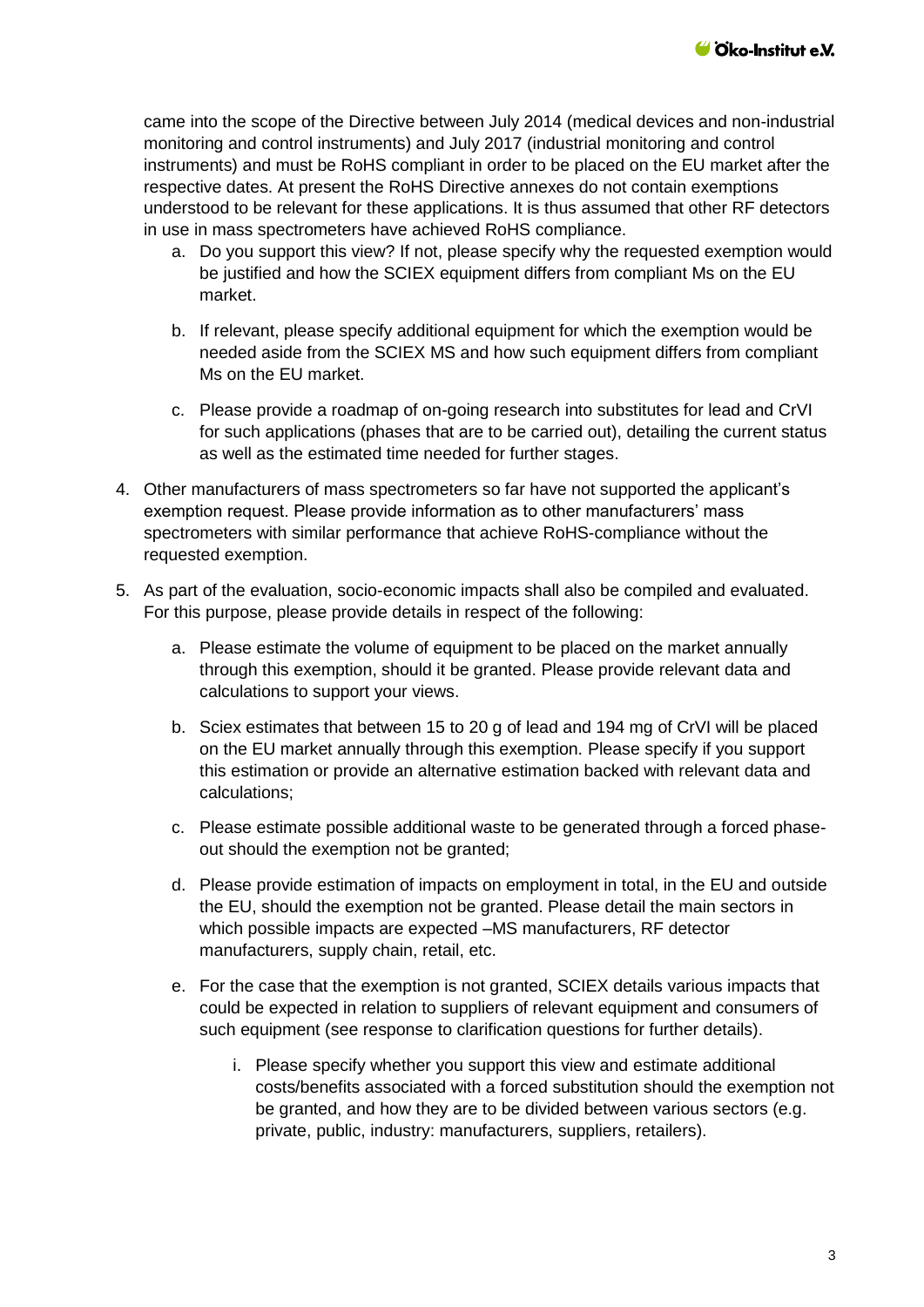came into the scope of the Directive between July 2014 (medical devices and non-industrial monitoring and control instruments) and July 2017 (industrial monitoring and control instruments) and must be RoHS compliant in order to be placed on the EU market after the respective dates. At present the RoHS Directive annexes do not contain exemptions understood to be relevant for these applications. It is thus assumed that other RF detectors in use in mass spectrometers have achieved RoHS compliance.

- a. Do you support this view? If not, please specify why the requested exemption would be justified and how the SCIEX equipment differs from compliant Ms on the EU market.
- b. If relevant, please specify additional equipment for which the exemption would be needed aside from the SCIEX MS and how such equipment differs from compliant Ms on the EU market.
- c. Please provide a roadmap of on-going research into substitutes for lead and CrVI for such applications (phases that are to be carried out), detailing the current status as well as the estimated time needed for further stages.
- 4. Other manufacturers of mass spectrometers so far have not supported the applicant's exemption request. Please provide information as to other manufacturers' mass spectrometers with similar performance that achieve RoHS-compliance without the requested exemption.
- 5. As part of the evaluation, socio-economic impacts shall also be compiled and evaluated. For this purpose, please provide details in respect of the following:
	- a. Please estimate the volume of equipment to be placed on the market annually through this exemption, should it be granted. Please provide relevant data and calculations to support your views.
	- b. Sciex estimates that between 15 to 20 g of lead and 194 mg of CrVI will be placed on the EU market annually through this exemption. Please specify if you support this estimation or provide an alternative estimation backed with relevant data and calculations;
	- c. Please estimate possible additional waste to be generated through a forced phaseout should the exemption not be granted;
	- d. Please provide estimation of impacts on employment in total, in the EU and outside the EU, should the exemption not be granted. Please detail the main sectors in which possible impacts are expected –MS manufacturers, RF detector manufacturers, supply chain, retail, etc.
	- e. For the case that the exemption is not granted, SCIEX details various impacts that could be expected in relation to suppliers of relevant equipment and consumers of such equipment (see response to clarification questions for further details).
		- i. Please specify whether you support this view and estimate additional costs/benefits associated with a forced substitution should the exemption not be granted, and how they are to be divided between various sectors (e.g. private, public, industry: manufacturers, suppliers, retailers).